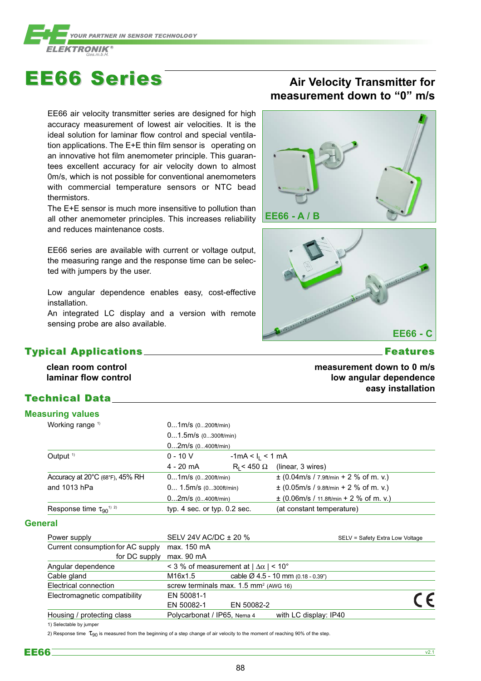

## EE66 Series EE66 Series **Air Velocity Transmitter for**

EE66 air velocity transmitter series are designed for high accuracy measurement of lowest air velocities. It is the ideal solution for laminar flow control and special ventilation applications. The E+E thin film sensor is operating on an innovative hot film anemometer principle. This guarantees excellent accuracy for air velocity down to almost 0m/s, which is not possible for conventional anemometers with commercial temperature sensors or NTC bead thermistors.

The E+E sensor is much more insensitive to pollution than all other anemometer principles. This increases reliability and reduces maintenance costs.

EE66 series are available with current or voltage output, the measuring range and the response time can be selected with jumpers by the user.

Low angular dependence enables easy, cost-effective installation.

An integrated LC display and a version with remote sensing probe are also available.

### Typical Applications Features Features

**clean room control laminar flow control**

### Technical Data

### Power supply SELV 24V AC/DC ± 20 % SELV = Safety Extra Low Voltage **Measuring values** Working range <sup>1)</sup> 0...1m/s (0...200ft/min) 0...1.5m/s (0...300ft/min) 0...2m/s (0...400ft/min) Output <sup>1)</sup> 0 - 10 V -1mA < I<sub>L</sub> < 1 mA 4 - 20 mA  $R_1 < 450 \Omega$  (linear, 3 wires) Accuracy at 20°C (68°F), 45% RH 0...1m/s (0...200ft/min) ± (0.04m/s / 7.9ft/min + 2 % of m. v.) and 1013 hPa  $0... 1.5$ m/s (0...300ft/min)  $\pm (0.05$ m/s / 9.8ft/min + 2 % of m. v.) 0...2m/s (0...400ft/min)  $\pm (0.06 \text{m/s} / 11.8 \text{ft/min} + 2 \% \text{ of m. v.})$ Response time  $\tau_{90}$ <sup>1) 2)</sup> typ. 4 sec. or typ. 0.2 sec. (at constant temperature) **General**

| Current consumption for AC supply | max. 150 mA                                       |                                                |  |  |  |  |  |  |
|-----------------------------------|---------------------------------------------------|------------------------------------------------|--|--|--|--|--|--|
| for DC supply                     | max. 90 mA                                        |                                                |  |  |  |  |  |  |
| Angular dependence                | < 3 % of measurement at $ \Delta\alpha $ < 10°    |                                                |  |  |  |  |  |  |
| Cable gland                       | M16x1.5                                           | cable $\varnothing$ 4.5 - 10 mm (0.18 - 0.39") |  |  |  |  |  |  |
| Electrical connection             | screw terminals max. 1.5 mm <sup>2</sup> (AWG 16) |                                                |  |  |  |  |  |  |
| Electromagnetic compatibility     | EN 50081-1                                        |                                                |  |  |  |  |  |  |
|                                   | EN 50082-1                                        | EN 50082-2                                     |  |  |  |  |  |  |
| Housing / protecting class        | Polycarbonat / IP65, Nema 4                       | with LC display: IP40                          |  |  |  |  |  |  |
|                                   |                                                   |                                                |  |  |  |  |  |  |

1) Selectable by jumper

2) Response time  $\tau_{90}$  is measured from the beginning of a step change of air velocity to the moment of reaching 90% of the step.

# **measurement down to "0" m/s**





**measurement down to 0 m/s low angular dependence easy installation**